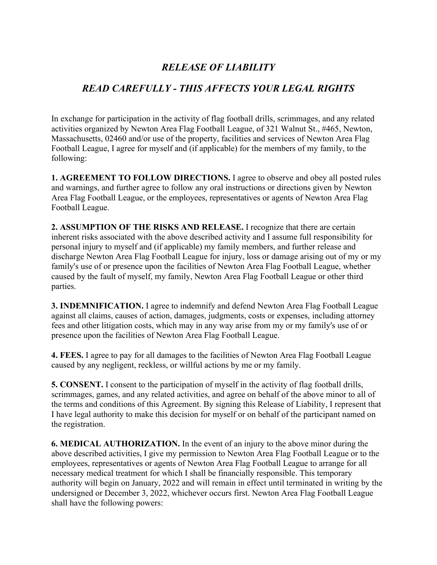## *RELEASE OF LIABILITY*

## *READ CAREFULLY - THIS AFFECTS YOUR LEGAL RIGHTS*

In exchange for participation in the activity of flag football drills, scrimmages, and any related activities organized by Newton Area Flag Football League, of 321 Walnut St., #465, Newton, Massachusetts, 02460 and/or use of the property, facilities and services of Newton Area Flag Football League, I agree for myself and (if applicable) for the members of my family, to the following:

**1. AGREEMENT TO FOLLOW DIRECTIONS.** I agree to observe and obey all posted rules and warnings, and further agree to follow any oral instructions or directions given by Newton Area Flag Football League, or the employees, representatives or agents of Newton Area Flag Football League.

**2. ASSUMPTION OF THE RISKS AND RELEASE.** I recognize that there are certain inherent risks associated with the above described activity and I assume full responsibility for personal injury to myself and (if applicable) my family members, and further release and discharge Newton Area Flag Football League for injury, loss or damage arising out of my or my family's use of or presence upon the facilities of Newton Area Flag Football League, whether caused by the fault of myself, my family, Newton Area Flag Football League or other third parties.

**3. INDEMNIFICATION.** I agree to indemnify and defend Newton Area Flag Football League against all claims, causes of action, damages, judgments, costs or expenses, including attorney fees and other litigation costs, which may in any way arise from my or my family's use of or presence upon the facilities of Newton Area Flag Football League.

**4. FEES.** I agree to pay for all damages to the facilities of Newton Area Flag Football League caused by any negligent, reckless, or willful actions by me or my family.

**5. CONSENT.** I consent to the participation of myself in the activity of flag football drills, scrimmages, games, and any related activities, and agree on behalf of the above minor to all of the terms and conditions of this Agreement. By signing this Release of Liability, I represent that I have legal authority to make this decision for myself or on behalf of the participant named on the registration.

**6. MEDICAL AUTHORIZATION.** In the event of an injury to the above minor during the above described activities, I give my permission to Newton Area Flag Football League or to the employees, representatives or agents of Newton Area Flag Football League to arrange for all necessary medical treatment for which I shall be financially responsible. This temporary authority will begin on January, 2022 and will remain in effect until terminated in writing by the undersigned or December 3, 2022, whichever occurs first. Newton Area Flag Football League shall have the following powers: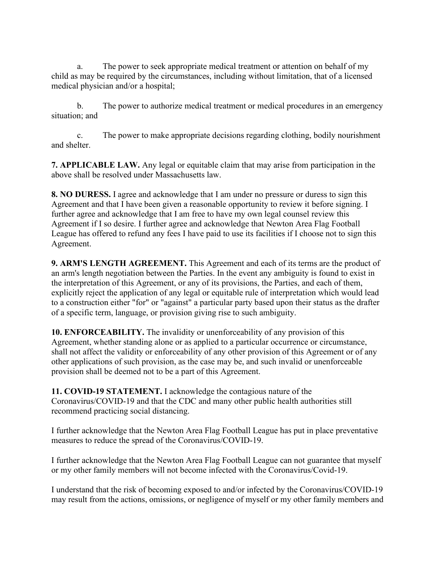a. The power to seek appropriate medical treatment or attention on behalf of my child as may be required by the circumstances, including without limitation, that of a licensed medical physician and/or a hospital;

b. The power to authorize medical treatment or medical procedures in an emergency situation; and

c. The power to make appropriate decisions regarding clothing, bodily nourishment and shelter.

**7. APPLICABLE LAW.** Any legal or equitable claim that may arise from participation in the above shall be resolved under Massachusetts law.

**8. NO DURESS.** I agree and acknowledge that I am under no pressure or duress to sign this Agreement and that I have been given a reasonable opportunity to review it before signing. I further agree and acknowledge that I am free to have my own legal counsel review this Agreement if I so desire. I further agree and acknowledge that Newton Area Flag Football League has offered to refund any fees I have paid to use its facilities if I choose not to sign this Agreement.

**9. ARM'S LENGTH AGREEMENT.** This Agreement and each of its terms are the product of an arm's length negotiation between the Parties. In the event any ambiguity is found to exist in the interpretation of this Agreement, or any of its provisions, the Parties, and each of them, explicitly reject the application of any legal or equitable rule of interpretation which would lead to a construction either "for" or "against" a particular party based upon their status as the drafter of a specific term, language, or provision giving rise to such ambiguity.

**10. ENFORCEABILITY.** The invalidity or unenforceability of any provision of this Agreement, whether standing alone or as applied to a particular occurrence or circumstance, shall not affect the validity or enforceability of any other provision of this Agreement or of any other applications of such provision, as the case may be, and such invalid or unenforceable provision shall be deemed not to be a part of this Agreement.

**11. COVID-19 STATEMENT.** I acknowledge the contagious nature of the Coronavirus/COVID-19 and that the CDC and many other public health authorities still recommend practicing social distancing.

I further acknowledge that the Newton Area Flag Football League has put in place preventative measures to reduce the spread of the Coronavirus/COVID-19.

I further acknowledge that the Newton Area Flag Football League can not guarantee that myself or my other family members will not become infected with the Coronavirus/Covid-19.

I understand that the risk of becoming exposed to and/or infected by the Coronavirus/COVID-19 may result from the actions, omissions, or negligence of myself or my other family members and